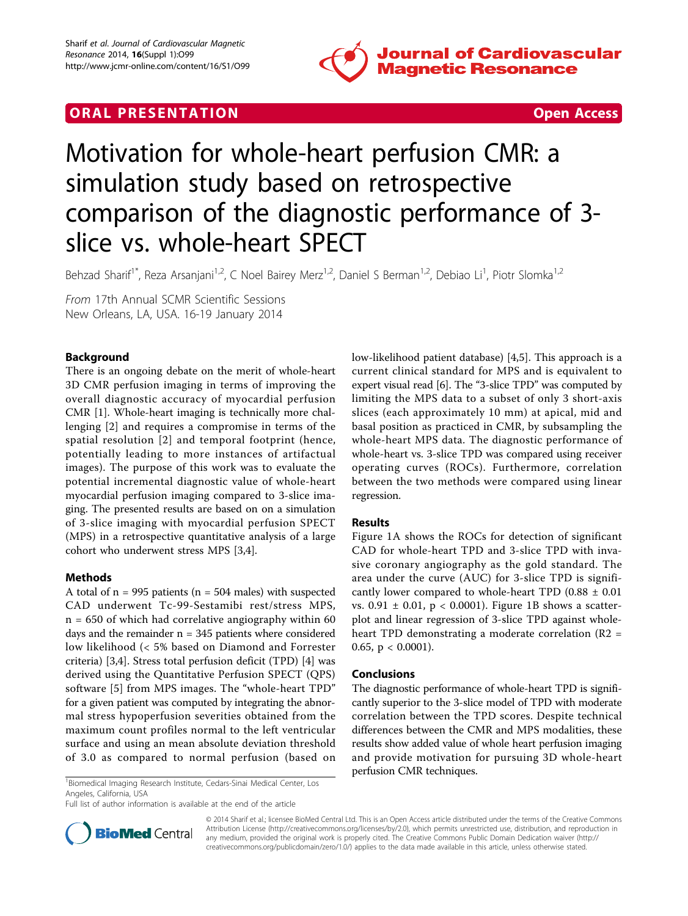

## **ORAL PRESENTATION CONSUMING ACCESS**



# Motivation for whole-heart perfusion CMR: a simulation study based on retrospective comparison of the diagnostic performance of 3 slice vs. whole-heart SPECT

Behzad Sharif<sup>1\*</sup>, Reza Arsanjani<sup>1,2</sup>, C Noel Bairey Merz<sup>1,2</sup>, Daniel S Berman<sup>1,2</sup>, Debiao Li<sup>1</sup>, Piotr Slomka<sup>1,2</sup>

From 17th Annual SCMR Scientific Sessions New Orleans, LA, USA. 16-19 January 2014

### Background

There is an ongoing debate on the merit of whole-heart 3D CMR perfusion imaging in terms of improving the overall diagnostic accuracy of myocardial perfusion CMR [[1\]](#page-1-0). Whole-heart imaging is technically more challenging [\[2](#page-1-0)] and requires a compromise in terms of the spatial resolution [[2](#page-1-0)] and temporal footprint (hence, potentially leading to more instances of artifactual images). The purpose of this work was to evaluate the potential incremental diagnostic value of whole-heart myocardial perfusion imaging compared to 3-slice imaging. The presented results are based on on a simulation of 3-slice imaging with myocardial perfusion SPECT (MPS) in a retrospective quantitative analysis of a large cohort who underwent stress MPS [[3](#page-1-0),[4](#page-1-0)].

#### Methods

A total of  $n = 995$  patients ( $n = 504$  males) with suspected CAD underwent Tc-99-Sestamibi rest/stress MPS,  $n = 650$  of which had correlative angiography within 60 days and the remainder  $n = 345$  patients where considered low likelihood (< 5% based on Diamond and Forrester criteria) [[3,4\]](#page-1-0). Stress total perfusion deficit (TPD) [[4](#page-1-0)] was derived using the Quantitative Perfusion SPECT (QPS) software [\[5\]](#page-1-0) from MPS images. The "whole-heart TPD" for a given patient was computed by integrating the abnormal stress hypoperfusion severities obtained from the maximum count profiles normal to the left ventricular surface and using an mean absolute deviation threshold of 3.0 as compared to normal perfusion (based on

Perfusion CMR techniques.<br>
<sup>1</sup>Biomedical Imaging Research Institute, Cedars-Sinai Medical Center, Los<br> **1988** Angeles, California, USA

Full list of author information is available at the end of the article



#### Results

Figure [1A](#page-1-0) shows the ROCs for detection of significant CAD for whole-heart TPD and 3-slice TPD with invasive coronary angiography as the gold standard. The area under the curve (AUC) for 3-slice TPD is significantly lower compared to whole-heart TPD  $(0.88 \pm 0.01)$ vs.  $0.91 \pm 0.01$ ,  $p < 0.0001$ ). Figure [1B](#page-1-0) shows a scatterplot and linear regression of 3-slice TPD against wholeheart TPD demonstrating a moderate correlation (R2 = 0.65,  $p < 0.0001$ ).

#### Conclusions

The diagnostic performance of whole-heart TPD is significantly superior to the 3-slice model of TPD with moderate correlation between the TPD scores. Despite technical differences between the CMR and MPS modalities, these results show added value of whole heart perfusion imaging and provide motivation for pursuing 3D whole-heart



© 2014 Sharif et al.; licensee BioMed Central Ltd. This is an Open Access article distributed under the terms of the Creative Commons Attribution License [\(http://creativecommons.org/licenses/by/2.0](http://creativecommons.org/licenses/by/2.0)), which permits unrestricted use, distribution, and reproduction in any medium, provided the original work is properly cited. The Creative Commons Public Domain Dedication waiver [\(http://](http://creativecommons.org/publicdomain/zero/1.0/) [creativecommons.org/publicdomain/zero/1.0/](http://creativecommons.org/publicdomain/zero/1.0/)) applies to the data made available in this article, unless otherwise stated.